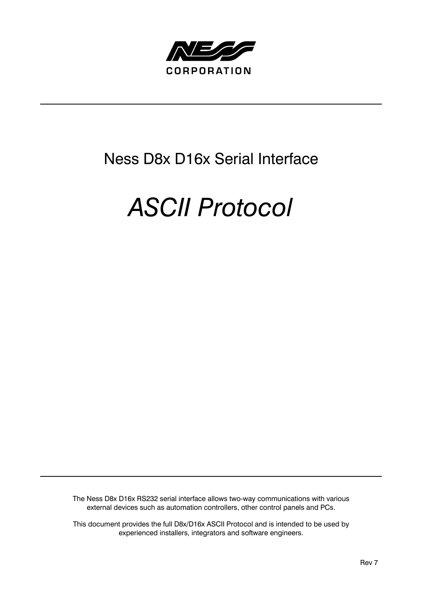

## Ness D8x D16x Serial Interface

# *ASCII Protocol*

The Ness D8x D16x RS232 serial interface allows two-way communications with various external devices such as automation controllers, other control panels and PCs.

This document provides the full D8x/D16x ASCII Protocol and is intended to be used by experienced installers, integrators and software engineers.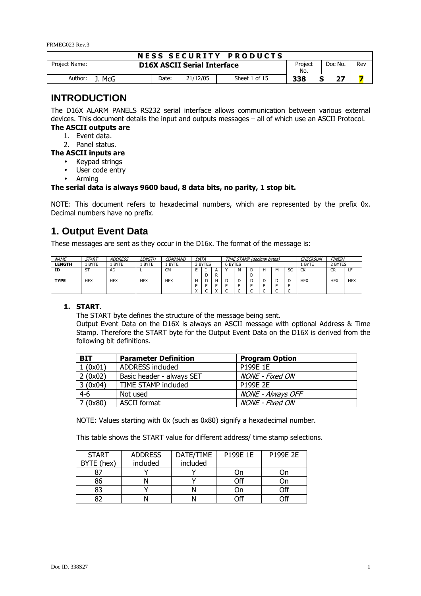FRMEG023 Rev.3

|               |     |       |                                    | <b>NESS SECURITY PRODUCTS</b> |                |         |     |
|---------------|-----|-------|------------------------------------|-------------------------------|----------------|---------|-----|
| Project Name: |     |       | <b>D16X ASCII Serial Interface</b> |                               | Project<br>No. | Doc No. | Rev |
| Author:       | McG | Date: | 21/12/05                           | Sheet 1 of 15                 | 338            | 27      |     |

## **INTRODUCTION**

The D16X ALARM PANELS RS232 serial interface allows communication between various external devices. This document details the input and outputs messages – all of which use an ASCII Protocol. **The ASCII outputs are** 

- 1. Event data.
- 2. Panel status.

#### **The ASCII inputs are**

- Keypad strings
	- User code entry
	- Arming

#### **The serial data is always 9600 baud, 8 data bits, no parity, 1 stop bit.**

NOTE: This document refers to hexadecimal numbers, which are represented by the prefix 0x. Decimal numbers have no prefix.

## **1. Output Event Data**

These messages are sent as they occur in the D16x. The format of the message is:

| <b>NAME</b>   | <b>START</b> | <b>ADDRESS</b> | <i>LENGTH</i> | COMMAND     | DATA      |         |           |         |   | TIME STAMP (decimal bytes) |    |        |               | CHECKSUM   | <b>FINISH</b> |            |
|---------------|--------------|----------------|---------------|-------------|-----------|---------|-----------|---------|---|----------------------------|----|--------|---------------|------------|---------------|------------|
| <b>LENGTH</b> | <b>BYTE</b>  | <b>BYTE</b>    | <b>BYTE</b>   | <b>BYTE</b> |           | 3 BYTES |           | 6 BYTES |   |                            |    |        |               | BYTE       | 2 BYTES       |            |
| ΙD            | <b>ST</b>    | AD             |               | <b>CM</b>   |           |         |           |         | М | D                          |    | M      | cr<br>$\cdot$ | CK         | <b>CR</b>     | ш          |
|               |              |                |               |             |           |         |           |         |   | D                          |    |        |               |            |               |            |
| <b>TYPE</b>   | <b>HEX</b>   | <b>HEX</b>     | <b>HEX</b>    | <b>HEX</b>  |           |         |           |         |   |                            | ı. | D      |               | <b>HEX</b> | <b>HEX</b>    | <b>HEX</b> |
|               |              |                |               |             |           |         |           |         |   |                            |    |        |               |            |               |            |
|               |              |                |               |             | $\lambda$ |         | $\lambda$ | -       |   | $\sim$<br>. .              |    | -<br>◡ | -<br>◡        |            |               |            |

#### **1. START**.

The START byte defines the structure of the message being sent.

Output Event Data on the D16X is always an ASCII message with optional Address & Time Stamp. Therefore the START byte for the Output Event Data on the D16X is derived from the following bit definitions.

| <b>BIT</b> | <b>Parameter Definition</b> | <b>Program Option</b>    |
|------------|-----------------------------|--------------------------|
| 1(0x01)    | ADDRESS included            | P199E 1E                 |
| 2(0x02)    | Basic header - always SET   | NONE - Fixed ON          |
| 3(0x04)    | TIME STAMP included         | P199F 2F                 |
| $4-6$      | Not used                    | <b>NONE - Always OFF</b> |
| 7(0x80)    | <b>ASCII</b> format         | NONE - Fixed ON          |

NOTE: Values starting with 0x (such as 0x80) signify a hexadecimal number.

This table shows the START value for different address/ time stamp selections.

| <b>START</b> | <b>ADDRESS</b> | DATE/TIME | P199E 1E | P199E 2E |
|--------------|----------------|-----------|----------|----------|
| BYTE (hex)   | included       | included  |          |          |
| o¬           |                |           | Dη       |          |
| 86           |                |           | Off      |          |
| R3           |                |           | Эn       | ∩ff      |
|              |                |           | ∩ff      |          |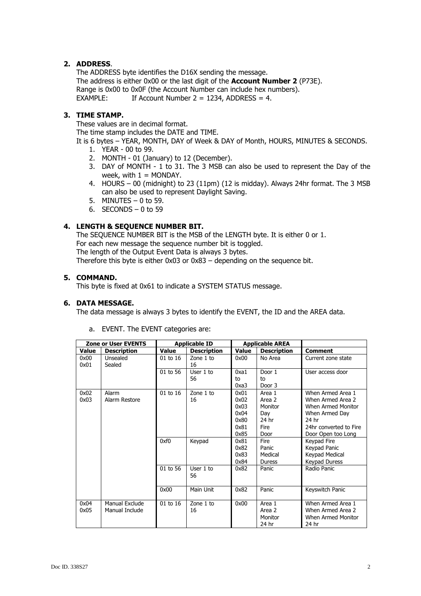#### **2. ADDRESS**.

The ADDRESS byte identifies the D16X sending the message. The address is either 0x00 or the last digit of the **Account Number 2** (P73E). Range is 0x00 to 0x0F (the Account Number can include hex numbers). EXAMPLE: If Account Number  $2 = 1234$ , ADDRESS = 4.

#### **3. TIME STAMP.**

These values are in decimal format.

The time stamp includes the DATE and TIME.

It is 6 bytes – YEAR, MONTH, DAY of Week & DAY of Month, HOURS, MINUTES & SECONDS.

- 1. YEAR 00 to 99.
- 2. MONTH 01 (January) to 12 (December).
- 3. DAY of MONTH 1 to 31. The 3 MSB can also be used to represent the Day of the week, with  $1 = \text{MONDAY}$ .
- 4. HOURS 00 (midnight) to 23 (11pm) (12 is midday). Always 24hr format. The 3 MSB can also be used to represent Daylight Saving.
- 5. MINUTES 0 to 59.
- 6. SECONDS 0 to 59

#### **4. LENGTH & SEQUENCE NUMBER BIT.**

The SEQUENCE NUMBER BIT is the MSB of the LENGTH byte. It is either 0 or 1. For each new message the sequence number bit is toggled. The length of the Output Event Data is always 3 bytes.

Therefore this byte is either 0x03 or 0x83 – depending on the sequence bit.

#### **5. COMMAND.**

This byte is fixed at 0x61 to indicate a SYSTEM STATUS message.

#### **6. DATA MESSAGE.**

The data message is always 3 bytes to identify the EVENT, the ID and the AREA data.

|       | <b>Zone or User EVENTS</b> |              | <b>Applicable ID</b> |       | <b>Applicable AREA</b> |                        |
|-------|----------------------------|--------------|----------------------|-------|------------------------|------------------------|
| Value | <b>Description</b>         | <b>Value</b> | <b>Description</b>   | Value | <b>Description</b>     | <b>Comment</b>         |
| 0x00  | Unsealed                   | 01 to 16     | Zone 1 to            | 0x00  | No Area                | Current zone state     |
| 0x01  | Sealed                     |              | 16                   |       |                        |                        |
|       |                            | 01 to 56     | User 1 to            | 0xa1  | Door 1                 | User access door       |
|       |                            |              | 56                   | to    | to                     |                        |
|       |                            |              |                      | 0xa3  | Door 3                 |                        |
| 0x02  | Alarm                      | 01 to 16     | Zone 1 to            | 0x01  | Area 1                 | When Armed Area 1      |
| 0x03  | Alarm Restore              |              | 16                   | 0x02  | Area 2                 | When Armed Area 2      |
|       |                            |              |                      | 0x03  | Monitor                | When Armed Monitor     |
|       |                            |              |                      | 0x04  | Day                    | When Armed Day         |
|       |                            |              |                      | 0x80  | 24 hr                  | 24 hr                  |
|       |                            |              |                      | 0x81  | Fire                   | 24hr converted to Fire |
|       |                            |              |                      | 0x85  | Door                   | Door Open too Long     |
|       |                            | 0xf0         | Keypad               | 0x81  | Fire                   | Keypad Fire            |
|       |                            |              |                      | 0x82  | Panic                  | Keypad Panic           |
|       |                            |              |                      | 0x83  | Medical                | Keypad Medical         |
|       |                            |              |                      | 0x84  | <b>Duress</b>          | Keypad Duress          |
|       |                            | $01$ to $56$ | User 1 to            | 0x82  | Panic                  | Radio Panic            |
|       |                            |              | 56                   |       |                        |                        |
|       |                            |              |                      |       |                        |                        |
|       |                            | 0x00         | Main Unit            | 0x82  | Panic                  | Keyswitch Panic        |
|       |                            |              |                      |       |                        |                        |
| 0x04  | Manual Exclude             | 01 to 16     | Zone 1 to            | 0x00  | Area 1                 | When Armed Area 1      |
| 0x05  | Manual Include             |              | 16                   |       | Area 2                 | When Armed Area 2      |
|       |                            |              |                      |       | Monitor                | When Armed Monitor     |
|       |                            |              |                      |       | 24 hr                  | 24 hr                  |

a. EVENT. The EVENT categories are: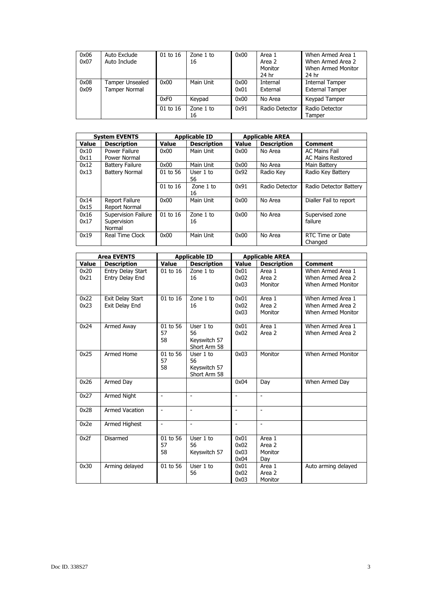| 0x06<br>0x07 | Auto Exclude<br>Auto Include            | 01 to 16 | Zone $1$ to<br>16 | 0x00         | Area 1<br>Area 2<br>Monitor<br>24 hr | When Armed Area 1<br>When Armed Area 2<br>When Armed Monitor<br>24 hr |
|--------------|-----------------------------------------|----------|-------------------|--------------|--------------------------------------|-----------------------------------------------------------------------|
| 0x08<br>0x09 | Tamper Unsealed<br><b>Tamper Normal</b> | 0x00     | Main Unit         | 0x00<br>0x01 | Internal<br>External                 | <b>Internal Tamper</b><br><b>External Tamper</b>                      |
|              |                                         | 0xF0     | Keypad            | 0x00         | No Area                              | Keypad Tamper                                                         |
|              |                                         | 01 to 16 | Zone 1 to<br>16   | 0x91         | Radio Detector                       | Radio Detector<br>Tamper                                              |

|       | <b>System EVENTS</b>       |              | <b>Applicable ID</b> |              | <b>Applicable AREA</b> |                          |
|-------|----------------------------|--------------|----------------------|--------------|------------------------|--------------------------|
| Value | <b>Description</b>         | Value        | <b>Description</b>   | <b>Value</b> | <b>Description</b>     | <b>Comment</b>           |
| 0x10  | Power Failure              | 0x00         | Main Unit            | 0x00         | No Area                | <b>AC Mains Fail</b>     |
| 0x11  | Power Normal               |              |                      |              |                        | <b>AC Mains Restored</b> |
| 0x12  | <b>Battery Failure</b>     | 0x00         | Main Unit            | 0x00         | No Area                | Main Battery             |
| 0x13  | <b>Battery Normal</b>      | $01$ to 56   | User $1$ to          | 0x92         | Radio Key              | Radio Key Battery        |
|       |                            |              | 56                   |              |                        |                          |
|       |                            | $01$ to $16$ | Zone $1$ to          | 0x91         | Radio Detector         | Radio Detector Battery   |
|       |                            |              | 16                   |              |                        |                          |
| 0x14  | <b>Report Failure</b>      | 0x00         | Main Unit            | 0x00         | No Area                | Dialler Fail to report   |
| 0x15  | Report Normal              |              |                      |              |                        |                          |
| 0x16  | <b>Supervision Failure</b> | 01 to 16     | Zone 1 to            | 0x00         | No Area                | Supervised zone          |
| 0x17  | Supervision                |              | 16                   |              |                        | failure                  |
|       | Normal                     |              |                      |              |                        |                          |
| 0x19  | Real Time Clock            | 0x00         | Main Unit            | 0x00         | No Area                | RTC Time or Date         |
|       |                            |              |                      |              |                        | Changed                  |

|              | <b>Area EVENTS</b>                          |                      | <b>Applicable ID</b>                              |                              | <b>Applicable AREA</b>             |                                                              |
|--------------|---------------------------------------------|----------------------|---------------------------------------------------|------------------------------|------------------------------------|--------------------------------------------------------------|
| <b>Value</b> | <b>Description</b>                          | Value                | <b>Description</b>                                | Value                        | <b>Description</b>                 | <b>Comment</b>                                               |
| 0x20<br>0x21 | <b>Entry Delay Start</b><br>Entry Delay End | 01 to 16             | Zone 1 to<br>16                                   | 0x01<br>0x02<br>0x03         | Area 1<br>Area 2<br>Monitor        | When Armed Area 1<br>When Armed Area 2<br>When Armed Monitor |
| 0x22<br>0x23 | Exit Delay Start<br>Exit Delay End          | 01 to 16             | Zone 1 to<br>16                                   | 0x01<br>0x02<br>0x03         | Area 1<br>Area 2<br>Monitor        | When Armed Area 1<br>When Armed Area 2<br>When Armed Monitor |
| 0x24         | Armed Away                                  | 01 to 56<br>57<br>58 | User 1 to<br>56<br>Keyswitch 57<br>Short Arm 58   | 0x01<br>0x02                 | Area 1<br>Area 2                   | When Armed Area 1<br>When Armed Area 2                       |
| 0x25         | Armed Home                                  | 01 to 56<br>57<br>58 | User $1$ to<br>56<br>Keyswitch 57<br>Short Arm 58 | 0x03                         | Monitor                            | When Armed Monitor                                           |
| 0x26         | Armed Day                                   |                      |                                                   | 0x04                         | Day                                | When Armed Day                                               |
| 0x27         | <b>Armed Night</b>                          | $\blacksquare$       | $\overline{a}$                                    | $\overline{a}$               | ÷.                                 |                                                              |
| 0x28         | <b>Armed Vacation</b>                       | $\overline{a}$       | ä,                                                | ÷,                           | ÷.                                 |                                                              |
| 0x2e         | Armed Highest                               | $\overline{a}$       | $\overline{a}$                                    | ÷,                           | ÷.                                 |                                                              |
| 0x2f         | <b>Disarmed</b>                             | 01 to 56<br>57<br>58 | User 1 to<br>56<br>Keyswitch 57                   | 0x01<br>0x02<br>0x03<br>0x04 | Area 1<br>Area 2<br>Monitor<br>Day |                                                              |
| 0x30         | Arming delayed                              | 01 to 56             | User 1 to<br>56                                   | 0x01<br>0x02<br>0x03         | Area 1<br>Area 2<br>Monitor        | Auto arming delayed                                          |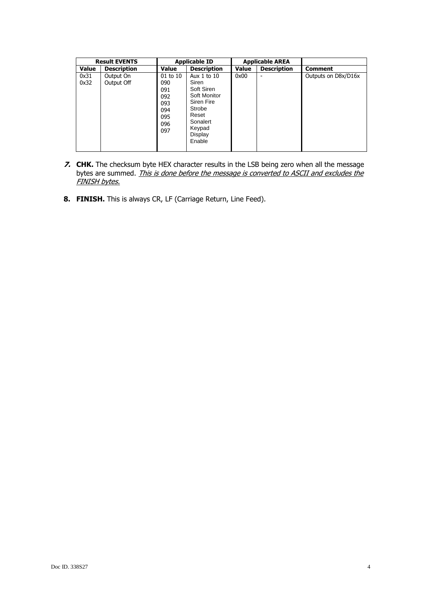|              | <b>Result EVENTS</b>    |                                                                  | <b>Applicable ID</b>                                                                                                                      |       | <b>Applicable AREA</b> |                     |
|--------------|-------------------------|------------------------------------------------------------------|-------------------------------------------------------------------------------------------------------------------------------------------|-------|------------------------|---------------------|
| Value        | <b>Description</b>      | Value                                                            | <b>Description</b>                                                                                                                        | Value | <b>Description</b>     | <b>Comment</b>      |
| 0x31<br>0x32 | Output On<br>Output Off | 01 to 10<br>090<br>091<br>092<br>093<br>094<br>095<br>096<br>097 | Aux $1$ to $10$<br>Siren<br>Soft Siren<br>Soft Monitor<br><b>Siren Fire</b><br>Strobe<br>Reset<br>Sonalert<br>Keypad<br>Display<br>Enable | 0x00  |                        | Outputs on D8x/D16x |

- **7. CHK.** The checksum byte HEX character results in the LSB being zero when all the message bytes are summed. <u>This is done before the message is converted to ASCII and excludes the</u> FINISH bytes.
- **8. FINISH.** This is always CR, LF (Carriage Return, Line Feed).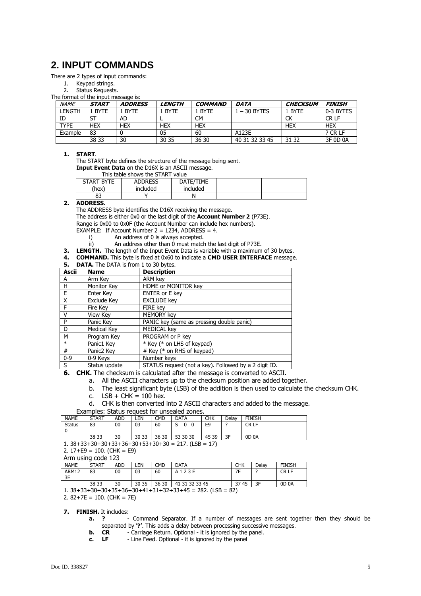## **2. INPUT COMMANDS**

There are 2 types of input commands:

1. Keypad strings.

2. Status Requests.

The format of the input message is:

| <b>NAME</b> | <b>START</b> | <b>ADDRESS</b> | <b>LENGTH</b> | <b>COMMAND</b> | <b>DATA</b>    | <b>CHECKSUM</b> | <b>FINISH</b> |
|-------------|--------------|----------------|---------------|----------------|----------------|-----------------|---------------|
| LENGTH      | 1 BYTE       | <b>BYTE</b>    | 1 BYTE        | 1 BYTE         | $1 - 30$ BYTES | 1 BYTE          | 0-3 BYTES     |
| ID          |              | AD             |               | CМ             |                | СK              | CR LF         |
| <b>TYPE</b> | <b>HEX</b>   | <b>HEX</b>     | <b>HEX</b>    | <b>HEX</b>     |                | <b>HEX</b>      | <b>HEX</b>    |
| Example     | 83           |                | 05            | 60             | A123E          |                 | ? CR LF       |
|             | 38 33        | 30             | 30 35         | 36 30          | 40 31 32 33 45 | 31 32           | 3F 0D 0A      |

#### **1. START**.

The START byte defines the structure of the message being sent.

**Input Event Data** on the D16X is an ASCII message.

This table shows the START value

| <b>START BYTE</b> | <b>ADDRESS</b> | DATE/TIME |  |
|-------------------|----------------|-----------|--|
| <b>hex</b>        | included       | included  |  |
| ດລ<br>ÕĴ          |                |           |  |

#### **2. ADDRESS**.

The ADDRESS byte identifies the D16X receiving the message.

The address is either 0x0 or the last digit of the **Account Number 2** (P73E).

Range is 0x00 to 0x0F (the Account Number can include hex numbers).

EXAMPLE: If Account Number  $2 = 1234$ , ADDRESS = 4.

- i) An address of 0 is always accepted.<br>ii) An address other than 0 must match An address other than 0 must match the last digit of P73E.
- **3. LENGTH.** The length of the Input Event Data is variable with a maximum of 30 bytes.
- **4. COMMAND.** This byte is fixed at 0x60 to indicate a **CMD USER INTERFACE** message.

| 5. |  | <b>DATA.</b> The DATA is from 1 to 30 bytes. |  |  |  |
|----|--|----------------------------------------------|--|--|--|
|----|--|----------------------------------------------|--|--|--|

| <b>Ascii</b> | <b>Name</b>   | <b>Description</b>                                    |
|--------------|---------------|-------------------------------------------------------|
| A            | Arm Key       | ARM key                                               |
| Н            | Monitor Key   | HOME or MONITOR key                                   |
| E            | Enter Kev     | ENTER or E key                                        |
| X            | Exclude Key   | <b>EXCLUDE</b> key                                    |
| F            | Fire Key      | FIRE key                                              |
| v            | View Key      | MEMORY key                                            |
| P            | Panic Key     | PANIC key (same as pressing double panic)             |
| D            | Medical Key   | <b>MEDICAL key</b>                                    |
| M            | Program Key   | PROGRAM or P key                                      |
| $\ast$       | Panic1 Key    | * Key (* on LHS of keypad)                            |
| #            | Panic2 Key    | # Key (* on RHS of keypad)                            |
| $0 - 9$      | 0-9 Keys      | Number keys                                           |
| S            | Status update | STATUS request (not a key). Followed by a 2 digit ID. |

**6. CHK.** The checksum is calculated after the message is converted to ASCII.

- a. All the ASCII characters up to the checksum position are added together.
- b. The least significant byte (LSB) of the addition is then used to calculate the checksum CHK.
- c.  $LSB + CHK = 100$  hex.
- d. CHK is then converted into 2 ASCII characters and added to the message.

Examples: Status request for unsealed zones.

| <b>NAME</b>   | <b>START</b>                                          | ADD | .EN   | CMD   | DATA     | СНК   | Delav | <b>FINISH</b> |  |  |  |  |
|---------------|-------------------------------------------------------|-----|-------|-------|----------|-------|-------|---------------|--|--|--|--|
| <b>Status</b> | 83                                                    | 00  | 03    | 60    |          | E9    |       | CR LF         |  |  |  |  |
|               | 38 33                                                 | 30  | 30 33 | 36 30 | 53 30 30 | 45 39 | 3F    | OD 0A         |  |  |  |  |
|               | 1. $38+33+30+30+33+36+30+53+30+30 = 217$ . (LSB = 17) |     |       |       |          |       |       |               |  |  |  |  |

| כ+טכ+סכ+ככ+טכ+טכ+ככ+סכ           |  |  |
|----------------------------------|--|--|
| $2 + 7 + 50 = 100$ (CHV = $50$ ) |  |  |

2.  $17 + E9 = 100$ . (CHK = E9) Arm using code 123

|             | ATTIT USITIY COULD IZJ |     |       |       |                |          |       |               |  |  |  |  |  |
|-------------|------------------------|-----|-------|-------|----------------|----------|-------|---------------|--|--|--|--|--|
| <b>NAME</b> | <b>START</b>           | ADD | LEN   | CMD   | DATA           | CHK      | Delav | <b>FINISH</b> |  |  |  |  |  |
| ARM12<br>3E | 83                     | 00  | 03    | 60    |                | ᇃ<br>-   |       | CR LF         |  |  |  |  |  |
|             | 38 33                  | 30  | 30 35 | 36 30 | 41 31 32 33 45 | 45<br>っっ | 25    | OD 0A         |  |  |  |  |  |

 $1. 38 + 33 + 30 + 30 + 35 + 36 + 30 + 41 + 31 + 32 + 33 + 45 = 282. (LSB = 82)$ 

2.  $82+7E = 100$ . (CHK = 7E)

## **7. FINISH.** It includes:

- **a. ?** Command Separator. If a number of messages are sent together then they should be separated by **'?'**. This adds a delay between processing successive messages.<br> **CR** - Carriage Return. Optional - it is ignored by the panel.
- **b. CR** Carriage Return. Optional it is ignored by the panel.<br>**c. LF** Line Feed. Optional it is ignored by the panel
	- Line Feed. Optional it is ignored by the panel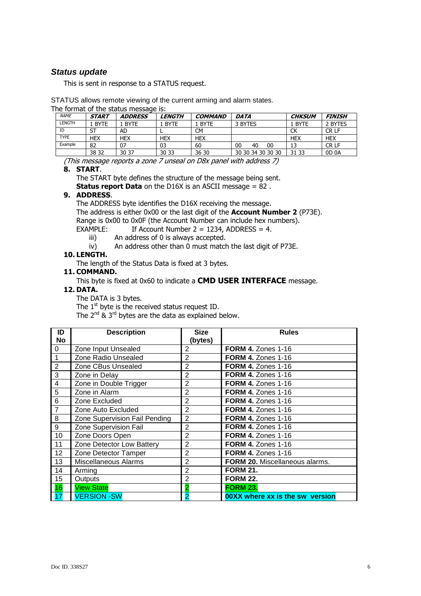#### **Status update**

This is sent in response to a STATUS request.

STATUS allows remote viewing of the current arming and alarm states.

The format of the status message is:

| <b>NAME</b>   | <b>START</b> | <b>ADDRESS</b> | <b>LENGTH</b> | <b>COMMAND</b> | <b>DATA</b>       | CHKSUM     | <i><b>FINISH</b></i> |
|---------------|--------------|----------------|---------------|----------------|-------------------|------------|----------------------|
| <b>LENGTH</b> | . Byte       | <b>BYTE</b>    | <b>BYTE</b>   | <b>BYTE</b>    | 3 BYTES           | . BYTE     | 2 BYTES              |
| ID            |              | AD             |               | CМ             |                   | СK         | CR LF                |
| <b>TYPE</b>   | <b>HEX</b>   | <b>HEX</b>     | <b>HEX</b>    | <b>HEX</b>     |                   | <b>HEX</b> | <b>HEX</b>           |
| Example       | 82           | 07             | 03            | 60             | 00<br>40<br>00    |            | CR LF                |
|               | 38 32        | 30 37          | 30 33         | 36 30          | 30 30 34 30 30 30 | 31 33      | OD 0A                |

(This message reports a zone 7 unseal on D8x panel with address 7)

#### **8. START**.

The START byte defines the structure of the message being sent.

**Status report Data** on the D16X is an ASCII message = 82.

#### **9. ADDRESS**.

The ADDRESS byte identifies the D16X receiving the message. The address is either 0x00 or the last digit of the **Account Number 2** (P73E). Range is 0x00 to 0x0F (the Account Number can include hex numbers).

EXAMPLE: If Account Number 2 = 1234, ADDRESS = 4.

- iii) An address of 0 is always accepted.
- iv) An address other than 0 must match the last digit of P73E.

#### **10. LENGTH.**

The length of the Status Data is fixed at 3 bytes.

#### **11. COMMAND.**

This byte is fixed at 0x60 to indicate a **CMD USER INTERFACE** message.

#### **12. DATA.**

The DATA is 3 bytes.

The 1<sup>st</sup> byte is the received status request ID.

The  $2^{nd}$  &  $3^{rd}$  bytes are the data as explained below.

| ID             | <b>Description</b>            | <b>Size</b>    | <b>Rules</b>                          |
|----------------|-------------------------------|----------------|---------------------------------------|
| No             |                               | (bytes)        |                                       |
| 0              | Zone Input Unsealed           | $\overline{2}$ | <b>FORM 4. Zones 1-16</b>             |
|                | Zone Radio Unsealed           | $\overline{2}$ | <b>FORM 4. Zones 1-16</b>             |
| $\overline{2}$ | Zone CBus Unsealed            | $\overline{2}$ | <b>FORM 4. Zones 1-16</b>             |
| 3              | Zone in Delay                 | $\overline{2}$ | <b>FORM 4. Zones 1-16</b>             |
| 4              | Zone in Double Trigger        | $\overline{2}$ | <b>FORM 4. Zones 1-16</b>             |
| 5              | Zone in Alarm                 | $\overline{2}$ | <b>FORM 4. Zones 1-16</b>             |
| 6              | Zone Excluded                 | $\overline{2}$ | <b>FORM 4. Zones 1-16</b>             |
| 7              | Zone Auto Excluded            | $\overline{2}$ | <b>FORM 4. Zones 1-16</b>             |
| 8              | Zone Supervision Fail Pending | $\overline{2}$ | <b>FORM 4. Zones 1-16</b>             |
| 9              | Zone Supervision Fail         | $\overline{2}$ | <b>FORM 4. Zones 1-16</b>             |
| 10             | Zone Doors Open               | $\overline{2}$ | <b>FORM 4. Zones 1-16</b>             |
| 11             | Zone Detector Low Battery     | $\overline{2}$ | <b>FORM 4. Zones 1-16</b>             |
| 12             | Zone Detector Tamper          | $\overline{2}$ | <b>FORM 4. Zones 1-16</b>             |
| 13             | Miscellaneous Alarms          | $\overline{2}$ | <b>FORM 20. Miscellaneous alarms.</b> |
| 14             | Arming                        | $\overline{2}$ | <b>FORM 21.</b>                       |
| 15             | Outputs                       | $\overline{2}$ | <b>FORM 22.</b>                       |
| 16             | <b>View State</b>             |                | <b>FORM 23.</b>                       |
| 17             | <b>VERSION -SW</b>            |                | 00XX where xx is the sw version       |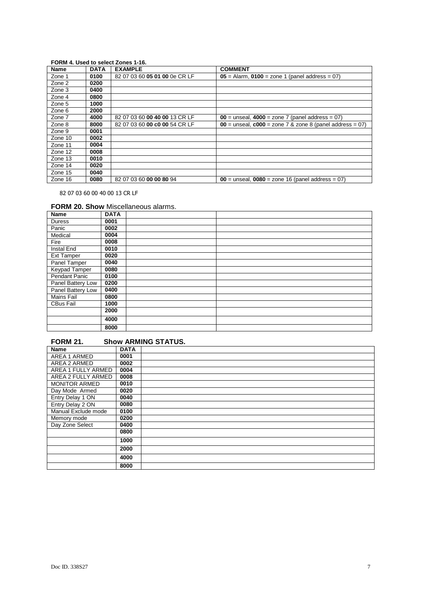#### **FORM 4. Used to select Zones 1-16.**

| Name    | <b>DATA</b> | <b>EXAMPLE</b>                | <b>COMMENT</b>                                               |
|---------|-------------|-------------------------------|--------------------------------------------------------------|
| Zone 1  | 0100        | 82 07 03 60 05 01 00 0e CR LF | $05$ = Alarm, $0100$ = zone 1 (panel address = 07)           |
| Zone 2  | 0200        |                               |                                                              |
| Zone 3  | 0400        |                               |                                                              |
| Zone 4  | 0800        |                               |                                                              |
| Zone 5  | 1000        |                               |                                                              |
| Zone 6  | 2000        |                               |                                                              |
| Zone 7  | 4000        | 82 07 03 60 00 40 00 13 CR LF | $00 =$ unseal, $4000 =$ zone 7 (panel address = 07)          |
| Zone 8  | 8000        | 82 07 03 60 00 c0 00 54 CR LF | $00 =$ unseal. $c000 =$ zone 7 & zone 8 (panel address = 07) |
| Zone 9  | 0001        |                               |                                                              |
| Zone 10 | 0002        |                               |                                                              |
| Zone 11 | 0004        |                               |                                                              |
| Zone 12 | 0008        |                               |                                                              |
| Zone 13 | 0010        |                               |                                                              |
| Zone 14 | 0020        |                               |                                                              |
| Zone 15 | 0040        |                               |                                                              |
| Zone 16 | 0080        | 82 07 03 60 00 00 80 94       | $00 =$ unseal, $0080 =$ zone 16 (panel address = 07)         |

82 07 03 60 00 40 00 13 CR LF

#### **FORM 20. Show** Miscellaneous alarms.

| Name                 | <b>DATA</b> |  |
|----------------------|-------------|--|
| <b>Duress</b>        | 0001        |  |
| Panic                | 0002        |  |
| Medical              | 0004        |  |
| Fire                 | 0008        |  |
| Instal End           | 0010        |  |
| <b>Ext Tamper</b>    | 0020        |  |
| Panel Tamper         | 0040        |  |
| <b>Keypad Tamper</b> | 0080        |  |
| Pendant Panic        | 0100        |  |
| Panel Battery Low    | 0200        |  |
| Panel Battery Low    | 0400        |  |
| Mains Fail           | 0800        |  |
| <b>CBus Fail</b>     | 1000        |  |
|                      | 2000        |  |
|                      | 4000        |  |
|                      | 8000        |  |

| <b>FORM 21.</b>      |             | <b>Show ARMING STATUS.</b> |
|----------------------|-------------|----------------------------|
| <b>Name</b>          | <b>DATA</b> |                            |
| AREA 1 ARMED         | 0001        |                            |
| AREA 2 ARMED         | 0002        |                            |
| AREA 1 FULLY ARMED   | 0004        |                            |
| AREA 2 FULLY ARMED   | 0008        |                            |
| <b>MONITOR ARMED</b> | 0010        |                            |
| Day Mode Armed       | 0020        |                            |
| Entry Delay 1 ON     | 0040        |                            |
| Entry Delay 2 ON     | 0080        |                            |
| Manual Exclude mode  | 0100        |                            |
| Memory mode          | 0200        |                            |
| Day Zone Select      | 0400        |                            |
|                      | 0800        |                            |
|                      | 1000        |                            |
|                      | 2000        |                            |
|                      | 4000        |                            |
|                      | 8000        |                            |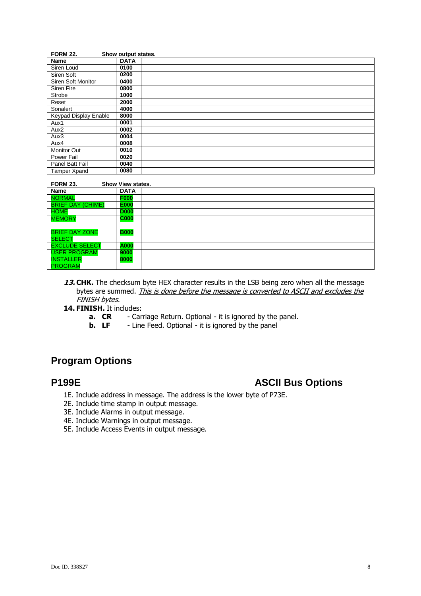| <b>FORM 22.</b>              | Show output states. |
|------------------------------|---------------------|
| Name                         | <b>DATA</b>         |
| Siren Loud                   | 0100                |
| Siren Soft                   | 0200                |
| Siren Soft Monitor           | 0400                |
| Siren Fire                   | 0800                |
| Strobe                       | 1000                |
| Reset                        | 2000                |
| Sonalert                     | 4000                |
| <b>Keypad Display Enable</b> | 8000                |
| Aux1                         | 0001                |
| Aux <sub>2</sub>             | 0002                |
| Aux3                         | 0004                |
| Aux4                         | 0008                |
| <b>Monitor Out</b>           | 0010                |
| Power Fail                   | 0020                |
| Panel Batt Fail              | 0040                |
| Tamper Xpand                 | 0080                |

| <b>FORM 23.</b>          | <b>Show View states.</b> |  |
|--------------------------|--------------------------|--|
| Name                     | <b>DATA</b>              |  |
| <b>NORMAL</b>            | <b>F000</b>              |  |
| <b>BRIEF DAY (CHIME)</b> | <b>E000</b>              |  |
| <b>HOME</b>              | <b>D000</b>              |  |
| <b>MEMORY</b>            | <b>C000</b>              |  |
|                          |                          |  |
| <b>BRIEF DAY ZONE</b>    | <b>B000</b>              |  |
| <b>SELECT</b>            |                          |  |
| <b>EXCLUDE SELECT</b>    | A000                     |  |
| <b>USER PROGRAM</b>      | 9000                     |  |
| <b>INSTALLER</b>         | 8000                     |  |
| <b>PROGRAM</b>           |                          |  |

13. CHK. The checksum byte HEX character results in the LSB being zero when all the message bytes are summed. This is done before the message is converted to ASCII and excludes the FINISH bytes.

**14. FINISH.** It includes:<br>**a.** CR - Car

- **a. CR** Carriage Return. Optional it is ignored by the panel.<br>**b.** LF Line Feed. Optional it is ignored by the panel
- Line Feed. Optional it is ignored by the panel

## **Program Options**

## **P199E ASCII Bus Options**

- 1E. Include address in message. The address is the lower byte of P73E.
- 2E. Include time stamp in output message.
- 3E. Include Alarms in output message.
- 4E. Include Warnings in output message.
- 5E. Include Access Events in output message.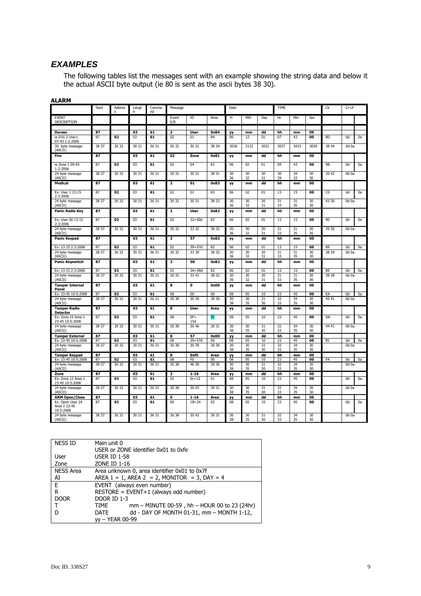#### **EXAMPLES**

The following tables list the messages sent with an example showing the string data and below it the actual ASCII byte output (ie 80 is sent as the ascii bytes 38 30).

| .                                             |              |                        |                |             |                         |                |        |           |                |          |          |          |                 |                |                  |    |
|-----------------------------------------------|--------------|------------------------|----------------|-------------|-------------------------|----------------|--------|-----------|----------------|----------|----------|----------|-----------------|----------------|------------------|----|
|                                               | <b>Start</b> | Addres<br>$\mathbf{s}$ | Lengt<br>h     | Comma<br>nd | Message                 |                |        | Date      |                |          | TIME     |          |                 | Ck             | Cr-LF            |    |
| <b>EVENT</b><br>DESCRIPTION                   |              |                        |                |             | Event<br>E/R            | ID             | Area   | Yr        | Mth            | Day      | Hr       | Min      | Sec             |                |                  |    |
|                                               |              |                        |                |             |                         |                |        |           |                |          |          |          |                 |                |                  |    |
| <b>Duress</b>                                 | 87           |                        | 03             | 61          | $\overline{\mathbf{2}}$ | <b>User</b>    | 0x84   | yy        | mm             | dd       | hh       | mm       | 00              |                |                  |    |
| ie D16 2 User1<br>07:43 1:2:2006              | 87           | 02                     | 0 <sup>3</sup> | 61          | 02                      | 01             | 84     | 06        | 12             | 01       | 07       | 43       | 00              | 8 <sub>D</sub> | 0d               | 0a |
| 30 byte message<br>(ASCII)                    | 38 37        | 30 32                  | 30 31          | 36 31       | 30 32                   | 30 31          | 38 34  | 3036      | 3132           | 3031     | 3037     | 3433     | 3030            | 38 44          | 0d <sub>0a</sub> |    |
| Fire                                          | 87           |                        | 03             | 61          | 02                      | Zone           | 0x81   | yy        | mm             | dd       | hh       | mm       | 00              |                |                  |    |
| ie Zone 1 09:43<br>1:2:2006                   | 87           | 02                     | 0 <sup>3</sup> | 61          | 02                      | 04             | 81     | 06        | 02             | 01       | 09       | 43       | 00              | <b>9B</b>      | 0d               | 0a |
| 24 byte message<br>(ASCII)                    | 38 37        | 30 32                  | 30 31          | 36 31       | 30 32                   | 30 31          | 38 31  | 30<br>36  | 30<br>32       | 30<br>31 | 30<br>39 | 34<br>33 | 30<br>30        | 39 42          | Od Oa            |    |
| Medical                                       | 87           |                        | 03             | 61          | $\overline{\mathbf{z}}$ | 01             | 0x83   | yy        | mm             | dd       | hh       | mm       | 00              |                |                  |    |
| Ex: User 1 13:15<br>2:3:2006                  | 87           | $\overline{02}$        | 0 <sub>3</sub> | 61          | 02                      | 01             | 83     | 06        | 02             | 01       | 13       | 15       | $\overline{00}$ | C <sub>0</sub> | 0d               | 0a |
| 24 byte message<br>(ASCII)                    | 38 37        | 30 32                  | 30 31          | 36 31       | 30 32                   | 30 31          | 38 33  | 30<br>36  | 30<br>32       | 30<br>31 | 31<br>33 | 31<br>35 | 30<br>30        | 43 30          | Od Oa            |    |
| <b>Panic Radio Key</b>                        | 87           |                        | 03             | 61          | $\mathbf{z}$            | User           | 0x82   | yy        | mm             | dd       | hh       | mm       | 00              |                |                  |    |
| Ex: User 50 13:15<br>2:3:2006                 | 87           | 02                     | 03             | 61          | 02                      | $32 = 50d$     | 82     | 06        | 02             | 01       | 13       | 15       | 00              | 90             | 0d               | 0a |
| 24 byte message<br>(ASCII)                    | 38 37        | 30 32                  | 30 31          | 36 31       | 30 32                   | 33332          | 38 32  | 30<br>36  | 30<br>32       | 30<br>31 | 31<br>33 | 31<br>35 | 30<br>30        | 39 30          | 0d <sub>0a</sub> |    |
| <b>Panic Keypad</b>                           | 87           |                        | 03             | 61          | $\overline{\mathbf{2}}$ | 57             | 0x82   | yy        | mm             | dd       | hh       | mm       | 00              |                |                  |    |
| Ex: 13:15 2:3:2006                            | 87           | 02                     | 03             | 61          | 02                      | $39 = 57d$     | 82     | 06        | 02             | 01       | 13       | 15       | 00              | 89             | 0d               | 0a |
| 24 byte message<br>(ASCII)                    | 38 37        | 30 32                  | 30 31          | 36 31       | 30 32                   | 33 39          | 38 32  | 30<br>36  | 30<br>32       | 30<br>31 | 31<br>33 | 31<br>35 | 30<br>30        | 38 39          | 0d 0a            |    |
| <b>Panic Keyswitch</b>                        | 87           |                        | 03             | 61          | $\mathbf 2$             | 58             | 0x82   | yy        | mm             | dd       | hh       | mm       | 00              |                |                  |    |
| Ex: 13:15 2:3:2006                            | 87           | 02                     | 03             | 61          | 02                      | $3A = 58d$     | 82     | 06        | 02             | 01       | 13       | 15       | 00              | 88             | 0d               | 0a |
| 24 byte message<br>(ASCII)                    | 38 37        | 30 32                  | 30 31          | 36 31       | 30 32                   | 33 41          | 38 32  | 30<br>36  | 30<br>32       | 30<br>31 | 31<br>33 | 31<br>35 | 30<br>30        | 38 38          | 0d 0a            |    |
| <b>Tamper Internal</b><br>Panel               | 87           |                        | 03             | 61          | 8                       | $\mathbf 0$    | 0x00   | yy        | mm             | dd       | hh       | mm       | 00              |                |                  |    |
| Ex: 23:45 10:5:2008                           | 87           | 02                     | 03             | 61          | 08                      | 00             | $00\,$ | 08        | 05             | 10       | 23       | 45       | 00              | EA             | 0d               | 0a |
| 24 byte message<br>(ASCII)                    | 38 37        | 3032                   | 30 31          | 36 31       | 30 38                   | 30 30          | 30 30  | 30<br>38  | 30<br>35       | 31<br>30 | 32<br>33 | 34<br>35 | 30<br>30        | 45 41          | Od Oa            |    |
| <b>Tamper Radio</b><br><b>Detector</b>        | 87           |                        | 03             | 61          | 8                       | User           | Area   | yy        | mm             | dd       | hh       | mm       | 00              |                |                  |    |
| Ex: Zone 15 Area 1<br>23:45 10:5:2008         | 87           | 02                     | 03             | 61          | 08                      | $0F =$<br>15d  | 91     | 08        | 0 <sub>5</sub> | 10       | 23       | 45       | 00              | DA             | 0d               | 0a |
| 24 byte message<br>(ASCII)                    | 38 37        | 30 32                  | 30 31          | 36 31       | 30 38                   | 30 46          | 30 31  | 30<br>38  | 30<br>35       | 31<br>30 | 32<br>33 | 34<br>35 | 30<br>30        | 44 41          | 0d <sub>0a</sub> |    |
| <b>Tamper External</b>                        | 87           |                        | 03             | 61          | 8                       | 57             | 0x00   | <b>yy</b> | mm             | dd       | hh       | mm       | 00              |                |                  |    |
| Ex: 23:45 10:5:2008                           | 87           | 02                     | 03             | 61          | 08                      | $39 = 57d$     | 00     | 08        | 05             | 10       | 23       | 45       | 00              | B1             | 0d               | 0a |
| 24 byte message<br>(ASCII)                    | 38 37        | 30 32                  | 30 31          | 36 31       | 30 38                   | 30 39          | 30 30  | 30<br>38  | 30<br>35       | 31<br>30 | 32<br>33 | 34<br>35 | 30<br>30        |                | Od Oa            |    |
| <b>Tamper Keypad</b>                          | 87           |                        | 03             | 61          | 8                       | 0xf0           | Area   | <b>yy</b> | mm             | dd       | hh       | mm       | $\overline{00}$ |                |                  |    |
| Ex: 23:45 10:5:2008                           | 87           | 02                     | 0 <sub>3</sub> | 61          | 08                      | F <sub>0</sub> | 00     | 08        | 05             | 10       | 23       | 45       | 00              | FA             | 0d               | 0a |
| 24 byte message<br>(ASCII)                    | 38 37        | 30 32                  | 30 31          | 36 31       | 30 38                   | 46 30          | 30 30  | 30<br>38  | 30<br>35       | 31<br>30 | 32<br>33 | 34<br>35 | 30<br>30        |                | 0d <sub>0a</sub> |    |
| Zone                                          | 87           |                        | 03             | 61          | $\overline{2}$          | $1 - 16$       | Area   | <b>yy</b> | mm             | dd       | hh       | mm       | 00              |                |                  |    |
| Ex: Zone 12 Area 1<br>23:45 10:5:2008         | 87           | 02                     | 03             | 61          | 02                      | $0c = 12$      | 01     | 08        | 05             | 10       | 23       | 45       | 00              |                | 0d               | 0a |
| 24 byte message<br>(ASCII)                    | 38 37        | 30 32                  | 30 31          | 36 31       | 30 38                   | 30 43          | 30 31  | 30<br>38  | 30<br>35       | 31<br>30 | 32<br>33 | 34<br>35 | 30<br>30        |                | Od Oa            |    |
| <b>ARM Open/Close</b>                         | 87           |                        | 03             | 61          | 0                       | $1 - 16$       | Area   | yy        | mm             | dd       | hh       | mm       | 00              |                |                  |    |
| Ex: Open User 24<br>Area 2 23:45<br>10:5:2008 | 87           | 02                     | 03             | 61          | 00                      | $18 = 24$      | 02     | 08        | 05             | 10       | 23       | 45       | 00              |                | 0d               | 0a |
| 24 byte message<br>(ASCII)                    | 38 37        | 30 32                  | 30 31          | 36 31       | 30 38                   | 30 43          | 30 31  | 30<br>38  | 30<br>35       | 31<br>30 | 32<br>33 | 34<br>35 | 30<br>30        |                | 0d <sub>0a</sub> |    |

| NESS ID      | Main unit 0                                              |  |  |  |  |
|--------------|----------------------------------------------------------|--|--|--|--|
|              | USER or ZONE identifier 0x01 to 0xfe                     |  |  |  |  |
| User         | <b>USER ID 1-58</b>                                      |  |  |  |  |
| Zone         | ZONE ID 1-16                                             |  |  |  |  |
| NESS Area    | Area unknown 0, area identifier 0x01 to 0x7f             |  |  |  |  |
| AI           | AREA $1 = 1$ , AREA $2 = 2$ , MONITOR = 3, DAY = 4       |  |  |  |  |
| E            | EVENT (always even number)                               |  |  |  |  |
| $\mathsf{R}$ | $RESTORE = EVENT + 1$ (always odd number)                |  |  |  |  |
| <b>DOOR</b>  | <b>DOOR ID 1-3</b>                                       |  |  |  |  |
|              | $mm - MINUTE$ 00-59, hh $-$ HOUR 00 to 23 (24hr)<br>TIME |  |  |  |  |
| D            | dd - DAY OF MONTH 01-31, mm - MONTH 1-12,<br>DATE        |  |  |  |  |
|              | vy - YEAR 00-99                                          |  |  |  |  |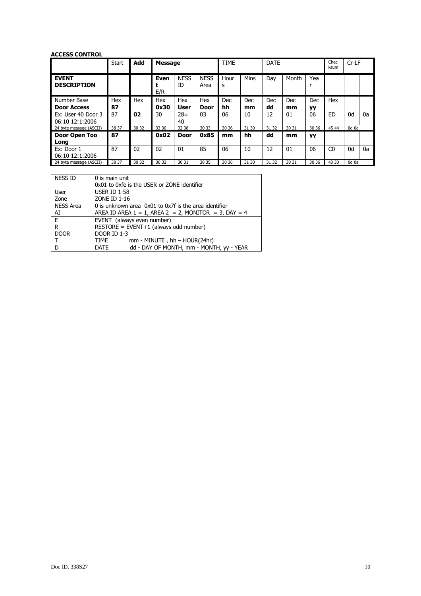#### **ACCESS CONTROL**

|                                       | Start | Add   | <b>Message</b>     |                   |                     | TIME      |             | <b>DATE</b> |            |       | Chec<br>ksum   | Cr-LF            |    |
|---------------------------------------|-------|-------|--------------------|-------------------|---------------------|-----------|-------------|-------------|------------|-------|----------------|------------------|----|
| <b>EVENT</b><br><b>DESCRIPTION</b>    |       |       | <b>Even</b><br>E/R | <b>NESS</b><br>ID | <b>NESS</b><br>Area | Hour<br>s | <b>Mins</b> | Day         | Month      | Yea   |                |                  |    |
| Number Base                           | Hex   | Hex   | Hex                | Hex               | Hex                 | Dec       | <b>Dec</b>  | Dec         | <b>Dec</b> | Dec   | Hex            |                  |    |
| <b>Door Access</b>                    | 87    |       | 0x30               | User              | <b>Door</b>         | hh        | mm          | dd          | mm         | ۷V    |                |                  |    |
| Ex: User 40 Door 3<br>06:10 12:1:2006 | 87    | 02    | 30                 | $28=$<br>40       | 03                  | 06        | 10          | 12          | 01         | 06    | ED             | 0d               | 0a |
| 24 byte message (ASCII)               | 38 37 | 30 32 | 33 30              | 32 38             | 30 33               | 30 36     | 31 30       | 31 32       | 30 31      | 30 36 | 45 44          | 0d <sub>0a</sub> |    |
| Door Open Too<br>Long                 | 87    |       | 0x02               | Door              | 0x85                | mm        | hh          | dd          | mm         | УY    |                |                  |    |
| Ex: Door 1<br>06:10 12:1:2006         | 87    | 02    | 02                 | 01                | 85                  | 06        | 10          | 12          | 01         | 06    | C <sub>0</sub> | 0d               | 0a |
| 24 byte message (ASCII)               | 38 37 | 30 32 | 30 32              | 30 31             | 38 35               | 30 36     | 31 30       | 31 32       | 30 31      | 30 36 | 43 30          | 0d <sub>0a</sub> |    |

| NESS ID          | 0 is main unit                                             |  |  |  |  |
|------------------|------------------------------------------------------------|--|--|--|--|
|                  | 0x01 to 0xfe is the USER or ZONE identifier                |  |  |  |  |
| User             | <b>USER ID 1-58</b>                                        |  |  |  |  |
| Zone             | ZONE ID 1-16                                               |  |  |  |  |
| <b>NESS Area</b> | 0 is unknown area 0x01 to 0x7f is the area identifier      |  |  |  |  |
| AI               | AREA ID AREA $1 = 1$ , AREA $2 = 2$ , MONITOR = 3, DAY = 4 |  |  |  |  |
| E                | EVENT (always even number)                                 |  |  |  |  |
| R                | $RESTORE = EVENT + 1$ (always odd number)                  |  |  |  |  |
| <b>DOOR</b>      | <b>DOOR ID 1-3</b>                                         |  |  |  |  |
|                  | $mm$ - MINUTE, $hh$ – HOUR(24hr)<br>TIME                   |  |  |  |  |
|                  | dd - DAY OF MONTH, mm - MONTH, yy - YEAR<br><b>DATE</b>    |  |  |  |  |
|                  |                                                            |  |  |  |  |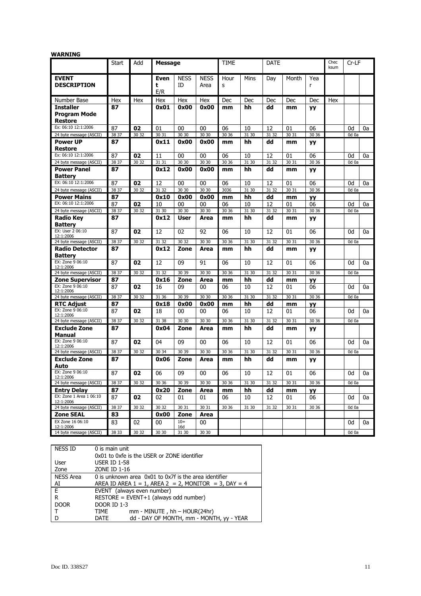| <b>WARNING</b>                                 |             |       |               |                   |                     |       |             |             |              |           |     |                    |    |
|------------------------------------------------|-------------|-------|---------------|-------------------|---------------------|-------|-------------|-------------|--------------|-----------|-----|--------------------|----|
|                                                | Start       | Add   | Message       |                   | TIME<br><b>DATE</b> |       |             |             | Chec<br>ksum | $Cr-LF$   |     |                    |    |
| <b>EVENT</b><br><b>DESCRIPTION</b>             |             |       | Even<br>t     | <b>NESS</b><br>ΙD | <b>NESS</b>         | Hour  | Mins        | Day         | Month        | Yea       |     |                    |    |
|                                                |             |       | E/R           |                   | Area                | s     |             |             |              | r         |     |                    |    |
| Number Base                                    | Hex         | Hex   | Hex           | Hex               | Hex                 | Dec   | Dec         | Dec         | Dec          | Dec       | Hex |                    |    |
| <b>Installer</b>                               | 87          |       | 0x01          | 0x00              | 0x00                | mm    | hh          | dd          | mm           | УY        |     |                    |    |
| <b>Program Mode</b>                            |             |       |               |                   |                     |       |             |             |              |           |     |                    |    |
| <b>Restore</b>                                 |             |       |               |                   |                     |       |             |             |              |           |     |                    |    |
| Ex: 06:10 12:1:2006                            | 87          | 02    | 01            | 00                | 00                  | 06    | 10          | 12          | 01           | 06        |     | 0d                 | 0a |
| 24 byte message (ASCII)                        | 38 37       | 30 32 | 30 31         | 30 30             | 30 30               | 30 36 | 31 30       | 31 32       | 30 31        | 30 36     |     | 0d 0a              |    |
| <b>Power UP</b><br><b>Restore</b>              | 87          |       | 0x11          | 0x00              | 0x00                | mm    | hh          | dd          | mm           | yу        |     |                    |    |
| Ex: 06:10 12:1:2006                            | 87          | 02    | 11            | 00                | 00                  | 06    | 10          | 12          | 01           | 06        |     | 0d                 |    |
| 24 byte message (ASCII)                        | 38 37       | 30 32 | 31 31         | 30 30             | 30 30               | 30 36 | 31 30       | 31 32       | 30 31        | 30 36     |     | $\overline{0}d$ 0a | 0a |
| <b>Power Panel</b>                             | 87          |       | 0x12          | 0x00              | 0x00                | mm    | hh          | dd          | mm           |           |     |                    |    |
| <b>Battery</b>                                 |             |       |               |                   |                     |       |             |             |              | yу        |     |                    |    |
| EX: 06:10 12:1:2006                            | 87          | 02    | 12            | 00                | 00                  | 06    | 10          | 12          | 01           | 06        |     | 0d                 | 0a |
| 24 byte message (ASCII)                        | 38 37       | 30 32 | 31 32         | 30 30             | 30 30               | 3036  | 31 30       | 31 32       | 30 31        | 30 36     |     | 0d 0a              |    |
| <b>Power Mains</b>                             | 87          |       | 0x10          | 0x00              | 0x00                | mm    | hh          | dd          | mm           | <b>yy</b> |     |                    |    |
| EX: 06:10 12:1:2006                            | 87          | 02    | 10            | 00                | 00                  | 06    | 10          | 12          | 01           | 06        |     | 0d                 | 0a |
| 24 byte message (ASCII)                        | 38 37       | 30 32 | 31 30         | 30 30             | 30 30               | 30 36 | 31 30       | 31 32       | 30 31        | 30 36     |     | 0d 0a              |    |
| <b>Radio Key</b><br><b>Battery</b>             | 87          |       | 0x12          | <b>User</b>       | Area                | mm    | hh          | dd          | mm           | УY        |     |                    |    |
| EX: User 2 06:10                               | 87          | 02    | 12            | 02                | 92                  | 06    | 10          | 12          | 01           | 06        |     | 0d                 | 0a |
| 12:1:2006<br>24 byte message (ASCII)           | 38 37       | 30 32 | 31 32         | 30 32             | 30 30               | 30 36 | 31 30       | 31 32       | 30 31        | 30 36     |     | 0d 0a              |    |
| <b>Radio Detector</b>                          | 87          |       | 0x12          | Zone              | Area                |       | hh          | dd          | mm           |           |     |                    |    |
| <b>Battery</b>                                 |             |       |               |                   |                     | mm    |             |             |              | yу        |     |                    |    |
| EX: Zone 9 06:10<br>12:1:2006                  | 87          | 02    | 12            | 09                | 91                  | 06    | 10          | 12          | 01           | 06        |     | 0d                 | 0a |
| 24 byte message (ASCII)                        | 38 37       | 30 32 | 31 32         | 30 39             | 30 30               | 30 36 | 31 30       | 31 32       | 30 31        | 30 36     |     | 0d 0a              |    |
| <b>Zone Supervisor</b>                         | 87          |       | 0x16          | Zone              | Area                | mm    | hh          | dd          | mm           | yу        |     |                    |    |
| EX: Zone 9 06:10<br>12:1:2006                  | 87          | 02    | 16            | 09                | 00                  | 06    | 10          | 12          | 01           | 06        |     | 0d                 | 0a |
| 24 byte message (ASCII)                        | 38 37       | 30 32 | 31 36         | 30 39             | 30 30               | 30 36 | 31 30       | 31 32       | 30 31        | 30 36     |     | 0d 0a              |    |
| <b>RTC Adjust</b>                              | 87          |       | 0x18          | 0x00              | 0x00                | mm    | hh          | dd          | mm           | УY        |     |                    |    |
| EX: Zone 9 06:10<br>12:1:2006                  | 87          | 02    | 18            | 00                | 00                  | 06    | 10          | 12          | 01           | 06        |     | 0d                 | 0a |
| 24 byte message (ASCII)                        | 38 37       | 30 32 | 31 38         | 30 30             | 30 30               | 30 36 | 31 30       | 31 32       | 30 31        | 30 36     |     | Od Oa              |    |
| <b>Exclude Zone</b><br><b>Manual</b>           | 87          |       | 0x04          | Zone              | Area                | mm    | hh          | dd          | mm           | УY        |     |                    |    |
| EX: Zone 9 06:10                               | 87          | 02    | 04            | 09                | 00                  | 06    | 10          | 12          | 01           | 06        |     | 0d                 | 0a |
| 12:1:2006                                      |             |       |               |                   |                     |       |             |             |              |           |     |                    |    |
| 24 byte message (ASCII)<br><b>Exclude Zone</b> | 38 37<br>87 | 30 32 | 30 34<br>0x06 | 30 39<br>Zone     | 30 30<br>Area       | 30 36 | 31 30<br>hh | 31 32<br>dd | 30 31        | 30 36     |     | 0d 0a              |    |
| Auto                                           |             |       |               |                   |                     | mm    |             |             | mm           | yу        |     |                    |    |
| EX: Zone 9 06:10<br>12:1:2006                  | 87          | 02    | 06            | 09                | 00                  | 06    | 10          | 12          | 01           | 06        |     | 0d                 | 0a |
| 24 byte message (ASCII)                        | 38 37       | 30 32 | 30 36         | 30 39             | 30 30               | 30 36 | 31 30       | 31 32       | 30 31        | 30 36     |     | 0d 0a              |    |
| <b>Entry Delay</b>                             | 87          |       | 0x20          | Zone              | Area                | mm    | hh          | dd          | mm           | yу        |     |                    |    |
| EX: Zone 1 Area 1 06:10<br>12:1:2006           | 87          | 02    | 02            | 01                | 01                  | 06    | 10          | 12          | 01           | 06        |     | 0d                 | 0a |
| 24 byte message (ASCII)                        | 38 37       | 30 32 | 30 32         | 30 31             | 30 31               | 30 36 | 31 30       | 31 32       | 30 31        | 30 36     |     | Od Oa              |    |
| <b>Zone SEAL</b>                               | 83          |       | 0x00          | Zone              | Area                |       |             |             |              |           |     |                    |    |
| EX Zone 16 06:10<br>12:1:2006                  | 83          | 02    | 00            | $10 =$<br>16d     | 00                  |       |             |             |              |           |     | 0d                 | 0a |
| 14 byte message (ASCII)                        | 38 33       | 30 32 | 30 30         | 31 30             | 30 30               |       |             |             |              |           |     | 0d 0a              |    |
|                                                |             |       |               |                   |                     |       |             |             |              |           |     |                    |    |

| <b>NESS ID</b>   | 0 is main unit                                             |  |  |  |  |
|------------------|------------------------------------------------------------|--|--|--|--|
|                  | 0x01 to 0xfe is the USER or ZONE identifier                |  |  |  |  |
| User             | <b>USER ID 1-58</b>                                        |  |  |  |  |
| Zone             | ZONE ID 1-16                                               |  |  |  |  |
| <b>NESS Area</b> | 0 is unknown area 0x01 to 0x7f is the area identifier      |  |  |  |  |
| AI               | AREA ID AREA $1 = 1$ , AREA $2 = 2$ , MONITOR = 3, DAY = 4 |  |  |  |  |
| E.               | EVENT (always even number)                                 |  |  |  |  |
| R                | $RESTORE = EVENT+1$ (always odd number)                    |  |  |  |  |
| <b>DOOR</b>      | <b>DOOR ID 1-3</b>                                         |  |  |  |  |
|                  | mm - MINUTE, hh - HOUR(24hr)<br>TIME                       |  |  |  |  |
|                  | dd - DAY OF MONTH, mm - MONTH, yy - YEAR<br><b>DATE</b>    |  |  |  |  |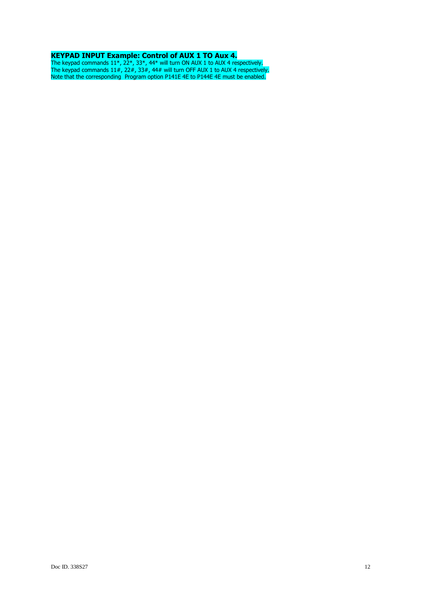#### **KEYPAD INPUT Example: Control of AUX 1 TO Aux 4.**

The keypad commands 11\*, 22\*, 33\*, 44\* will turn ON AUX 1 to AUX 4 respectively. The keypad commands 11#, 22#, 33#, 44# will turn OFF AUX 1 to AUX 4 respectively. Note that the corresponding Program option P141E 4E to P144E 4E must be enabled.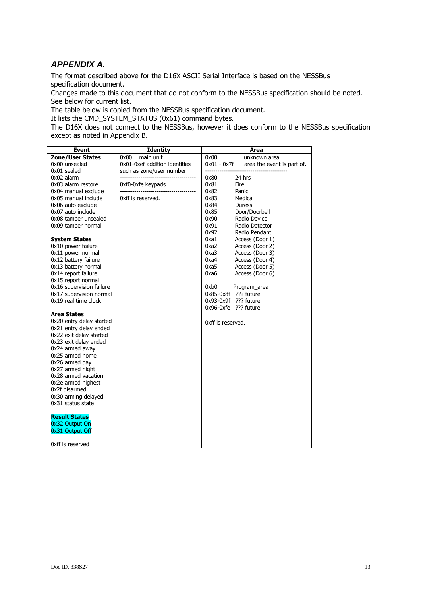#### **APPENDIX A.**

The format described above for the D16X ASCII Serial Interface is based on the NESSBus specification document.

Changes made to this document that do not conform to the NESSBus specification should be noted. See below for current list.

The table below is copied from the NESSBus specification document.

It lists the CMD\_SYSTEM\_STATUS (0x61) command bytes.

The D16X does not connect to the NESSBus, however it does conform to the NESSBus specification except as noted in Appendix B.

| <b>Event</b>             | <b>Identity</b>               | Area                                      |
|--------------------------|-------------------------------|-------------------------------------------|
| Zone/User States         | main unit<br>0x00             | 0x00<br>unknown area                      |
| 0x00 unsealed            | 0x01-0xef addition identities | 0x01 - 0x7f<br>area the event is part of. |
| 0x01 sealed              | such as zone/user number      |                                           |
| $0x02$ alarm             |                               | 24 hrs<br>0x80                            |
| 0x03 alarm restore       | 0xf0-0xfe keypads.            | 0x81<br>Fire                              |
| 0x04 manual exclude      |                               | 0x82<br>Panic                             |
| 0x05 manual include      | 0xff is reserved.             | 0x83<br>Medical                           |
| 0x06 auto exclude        |                               | 0x84<br><b>Duress</b>                     |
| 0x07 auto include        |                               | 0x85<br>Door/Doorbell                     |
| 0x08 tamper unsealed     |                               | 0x90<br>Radio Device                      |
| 0x09 tamper normal       |                               | 0x91<br>Radio Detector                    |
|                          |                               | 0x92<br>Radio Pendant                     |
| <b>System States</b>     |                               | 0xa1<br>Access (Door 1)                   |
| 0x10 power failure       |                               | 0xa2<br>Access (Door 2)                   |
| 0x11 power normal        |                               | 0xa3<br>Access (Door 3)                   |
| 0x12 battery failure     |                               | Access (Door 4)<br>0xa4                   |
| 0x13 battery normal      |                               | 0xa5<br>Access (Door 5)                   |
| 0x14 report failure      |                               | Access (Door 6)<br>0xa6                   |
| 0x15 report normal       |                               |                                           |
| 0x16 supervision failure |                               | 0xb0<br>Program_area                      |
| 0x17 supervision normal  |                               | 0x85-0x8f ??? future                      |
| 0x19 real time clock     |                               | $0x93-0x9f$ ??? future                    |
|                          |                               | 0x96-0xfe ??? future                      |
| <b>Area States</b>       |                               |                                           |
| 0x20 entry delay started |                               | 0xff is reserved.                         |
| 0x21 entry delay ended   |                               |                                           |
| 0x22 exit delay started  |                               |                                           |
| 0x23 exit delay ended    |                               |                                           |
| 0x24 armed away          |                               |                                           |
| 0x25 armed home          |                               |                                           |
| 0x26 armed day           |                               |                                           |
| 0x27 armed night         |                               |                                           |
| 0x28 armed vacation      |                               |                                           |
| 0x2e armed highest       |                               |                                           |
| 0x2f disarmed            |                               |                                           |
| 0x30 arming delayed      |                               |                                           |
| 0x31 status state        |                               |                                           |
| <b>Result States</b>     |                               |                                           |
| 0x32 Output On           |                               |                                           |
| 0x31 Output Off          |                               |                                           |
|                          |                               |                                           |
| 0xff is reserved         |                               |                                           |